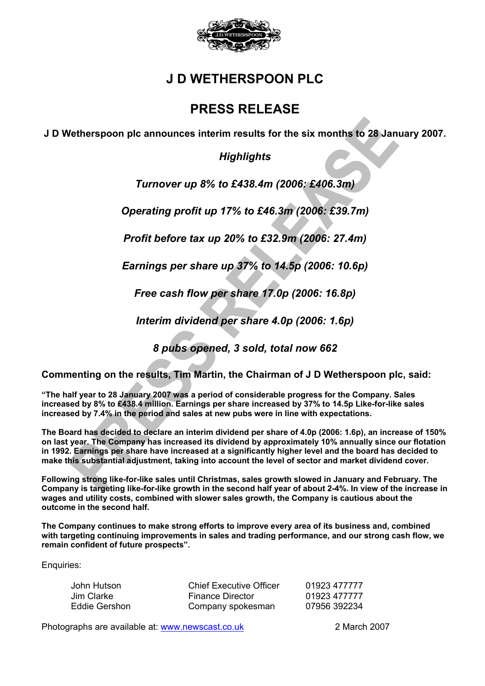

# **J D WETHERSPOON PLC**

# **PRESS RELEASE**

**J D Wetherspoon plc announces interim results for the six months to 28 January 2007.** 

## *Highlights*

*Turnover up 8% to £438.4m (2006: £406.3m)* 

*Operating profit up 17% to £46.3m (2006: £39.7m)* 

*Profit before tax up 20% to £32.9m (2006: 27.4m)* 

*Earnings per share up 37% to 14.5p (2006: 10.6p)* 

*Free cash flow per share 17.0p (2006: 16.8p)* 

*Interim dividend per share 4.0p (2006: 1.6p)* 

*8 pubs opened, 3 sold, total now 662* 

**Commenting on the results, Tim Martin, the Chairman of J D Wetherspoon plc, said:**

**"The half year to 28 January 2007 was a period of considerable progress for the Company. Sales increased by 8% to £438.4 million. Earnings per share increased by 37% to 14.5p Like-for-like sales increased by 7.4% in the period and sales at new pubs were in line with expectations.** 

**The Board has decided to declare an interim dividend per share of 4.0p (2006: 1.6p), an increase of 150% on last year. The Company has increased its dividend by approximately 10% annually since our flotation in 1992. Earnings per share have increased at a significantly higher level and the board has decided to make this substantial adjustment, taking into account the level of sector and market dividend cover.** 

**Following strong like-for-like sales until Christmas, sales growth slowed in January and February. The Company is targeting like-for-like growth in the second half year of about 2-4%. In view of the increase in wages and utility costs, combined with slower sales growth, the Company is cautious about the outcome in the second half.** 

**The Company continues to make strong efforts to improve every area of its business and, combined with targeting continuing improvements in sales and trading performance, and our strong cash flow, we remain confident of future prospects".** 

Enquiries:

| John Hutson   | <b>Chief Executive Officer</b> | 01923 477777 |
|---------------|--------------------------------|--------------|
| Jim Clarke    | <b>Finance Director</b>        | 01923 477777 |
| Eddie Gershon | Company spokesman              | 07956 392234 |

Photographs are available at: www.newscast.co.uk 2 March 2007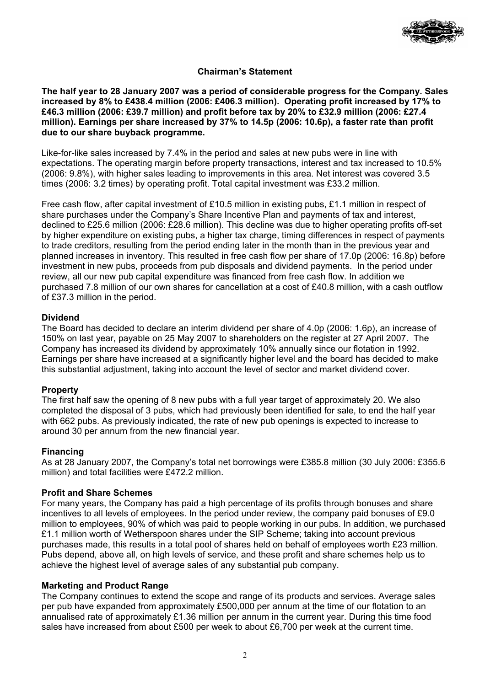

## **Chairman's Statement**

**The half year to 28 January 2007 was a period of considerable progress for the Company. Sales increased by 8% to £438.4 million (2006: £406.3 million). Operating profit increased by 17% to £46.3 million (2006: £39.7 million) and profit before tax by 20% to £32.9 million (2006: £27.4 million). Earnings per share increased by 37% to 14.5p (2006: 10.6p), a faster rate than profit due to our share buyback programme.** 

Like-for-like sales increased by 7.4% in the period and sales at new pubs were in line with expectations. The operating margin before property transactions, interest and tax increased to 10.5% (2006: 9.8%), with higher sales leading to improvements in this area. Net interest was covered 3.5 times (2006: 3.2 times) by operating profit. Total capital investment was £33.2 million.

Free cash flow, after capital investment of £10.5 million in existing pubs, £1.1 million in respect of share purchases under the Company's Share Incentive Plan and payments of tax and interest, declined to £25.6 million (2006: £28.6 million). This decline was due to higher operating profits off-set by higher expenditure on existing pubs, a higher tax charge, timing differences in respect of payments to trade creditors, resulting from the period ending later in the month than in the previous year and planned increases in inventory. This resulted in free cash flow per share of 17.0p (2006: 16.8p) before investment in new pubs, proceeds from pub disposals and dividend payments. In the period under review, all our new pub capital expenditure was financed from free cash flow. In addition we purchased 7.8 million of our own shares for cancellation at a cost of £40.8 million, with a cash outflow of £37.3 million in the period.

## **Dividend**

The Board has decided to declare an interim dividend per share of 4.0p (2006: 1.6p), an increase of 150% on last year, payable on 25 May 2007 to shareholders on the register at 27 April 2007. The Company has increased its dividend by approximately 10% annually since our flotation in 1992. Earnings per share have increased at a significantly higher level and the board has decided to make this substantial adjustment, taking into account the level of sector and market dividend cover.

## **Property**

The first half saw the opening of 8 new pubs with a full year target of approximately 20. We also completed the disposal of 3 pubs, which had previously been identified for sale, to end the half year with 662 pubs. As previously indicated, the rate of new pub openings is expected to increase to around 30 per annum from the new financial year.

## **Financing**

As at 28 January 2007, the Company's total net borrowings were £385.8 million (30 July 2006: £355.6 million) and total facilities were £472.2 million.

### **Profit and Share Schemes**

For many years, the Company has paid a high percentage of its profits through bonuses and share incentives to all levels of employees. In the period under review, the company paid bonuses of £9.0 million to employees, 90% of which was paid to people working in our pubs. In addition, we purchased £1.1 million worth of Wetherspoon shares under the SIP Scheme; taking into account previous purchases made, this results in a total pool of shares held on behalf of employees worth £23 million. Pubs depend, above all, on high levels of service, and these profit and share schemes help us to achieve the highest level of average sales of any substantial pub company.

### **Marketing and Product Range**

The Company continues to extend the scope and range of its products and services. Average sales per pub have expanded from approximately £500,000 per annum at the time of our flotation to an annualised rate of approximately £1.36 million per annum in the current year. During this time food sales have increased from about £500 per week to about £6,700 per week at the current time.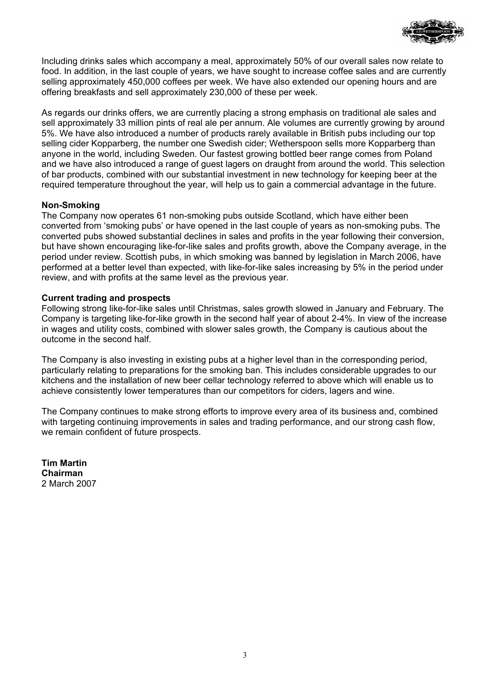

Including drinks sales which accompany a meal, approximately 50% of our overall sales now relate to food. In addition, in the last couple of years, we have sought to increase coffee sales and are currently selling approximately 450,000 coffees per week. We have also extended our opening hours and are offering breakfasts and sell approximately 230,000 of these per week.

As regards our drinks offers, we are currently placing a strong emphasis on traditional ale sales and sell approximately 33 million pints of real ale per annum. Ale volumes are currently growing by around 5%. We have also introduced a number of products rarely available in British pubs including our top selling cider Kopparberg, the number one Swedish cider; Wetherspoon sells more Kopparberg than anyone in the world, including Sweden. Our fastest growing bottled beer range comes from Poland and we have also introduced a range of guest lagers on draught from around the world. This selection of bar products, combined with our substantial investment in new technology for keeping beer at the required temperature throughout the year, will help us to gain a commercial advantage in the future.

## **Non-Smoking**

The Company now operates 61 non-smoking pubs outside Scotland, which have either been converted from 'smoking pubs' or have opened in the last couple of years as non-smoking pubs. The converted pubs showed substantial declines in sales and profits in the year following their conversion, but have shown encouraging like-for-like sales and profits growth, above the Company average, in the period under review. Scottish pubs, in which smoking was banned by legislation in March 2006, have performed at a better level than expected, with like-for-like sales increasing by 5% in the period under review, and with profits at the same level as the previous year.

## **Current trading and prospects**

Following strong like-for-like sales until Christmas, sales growth slowed in January and February. The Company is targeting like-for-like growth in the second half year of about 2-4%. In view of the increase in wages and utility costs, combined with slower sales growth, the Company is cautious about the outcome in the second half.

The Company is also investing in existing pubs at a higher level than in the corresponding period, particularly relating to preparations for the smoking ban. This includes considerable upgrades to our kitchens and the installation of new beer cellar technology referred to above which will enable us to achieve consistently lower temperatures than our competitors for ciders, lagers and wine.

The Company continues to make strong efforts to improve every area of its business and, combined with targeting continuing improvements in sales and trading performance, and our strong cash flow, we remain confident of future prospects.

**Tim Martin Chairman**  2 March 2007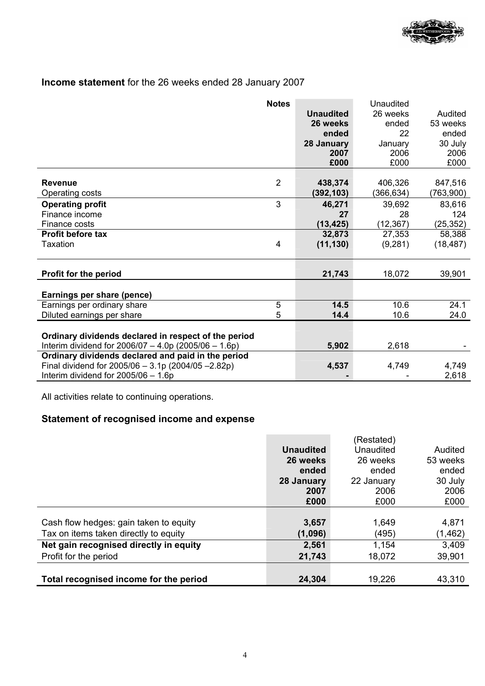

# **Income statement** for the 26 weeks ended 28 January 2007

|                                                        | <b>Notes</b> |                  | Unaudited |           |
|--------------------------------------------------------|--------------|------------------|-----------|-----------|
|                                                        |              | <b>Unaudited</b> | 26 weeks  | Audited   |
|                                                        |              | 26 weeks         | ended     | 53 weeks  |
|                                                        |              | ended            | 22        | ended     |
|                                                        |              | 28 January       | January   | 30 July   |
|                                                        |              | 2007             | 2006      | 2006      |
|                                                        |              | £000             | £000      | £000      |
|                                                        |              |                  |           |           |
| <b>Revenue</b>                                         | 2            | 438,374          | 406,326   | 847,516   |
| Operating costs                                        |              | (392, 103)       | (366,634) | (763,900) |
| <b>Operating profit</b>                                | 3            | 46,271           | 39,692    | 83,616    |
| Finance income                                         |              | 27               | 28        | 124       |
| Finance costs                                          |              | (13, 425)        | (12, 367) | (25, 352) |
| Profit before tax                                      |              | 32,873           | 27,353    | 58,388    |
| <b>Taxation</b>                                        | 4            | (11, 130)        | (9,281)   | (18, 487) |
|                                                        |              |                  |           |           |
|                                                        |              |                  |           |           |
| Profit for the period                                  |              | 21,743           | 18,072    | 39,901    |
|                                                        |              |                  |           |           |
| Earnings per share (pence)                             |              |                  |           |           |
| Earnings per ordinary share                            | 5            | 14.5             | 10.6      | 24.1      |
| Diluted earnings per share                             | 5            | 14.4             | 10.6      | 24.0      |
|                                                        |              |                  |           |           |
| Ordinary dividends declared in respect of the period   |              |                  |           |           |
| Interim dividend for $2006/07 - 4.0p$ (2005/06 - 1.6p) |              | 5,902            | 2,618     |           |
| Ordinary dividends declared and paid in the period     |              |                  |           |           |
| Final dividend for $2005/06 - 3.1p(2004/05 - 2.82p)$   |              | 4,537            | 4,749     | 4,749     |
| Interim dividend for $2005/06 - 1.6p$                  |              |                  |           | 2,618     |

All activities relate to continuing operations.

# **Statement of recognised income and expense**

|                                        |                  | (Restated) |          |
|----------------------------------------|------------------|------------|----------|
|                                        | <b>Unaudited</b> | Unaudited  | Audited  |
|                                        | 26 weeks         | 26 weeks   | 53 weeks |
|                                        | ended            | ended      | ended    |
|                                        | 28 January       | 22 January | 30 July  |
|                                        | 2007             | 2006       | 2006     |
|                                        | £000             | £000       | £000     |
|                                        |                  |            |          |
| Cash flow hedges: gain taken to equity | 3,657            | 1,649      | 4,871    |
| Tax on items taken directly to equity  | (1,096)          | (495)      | (1, 462) |
| Net gain recognised directly in equity | 2,561            | 1,154      | 3,409    |
| Profit for the period                  | 21,743           | 18,072     | 39,901   |
|                                        |                  |            |          |
| Total recognised income for the period | 24,304           | 19,226     | 43,310   |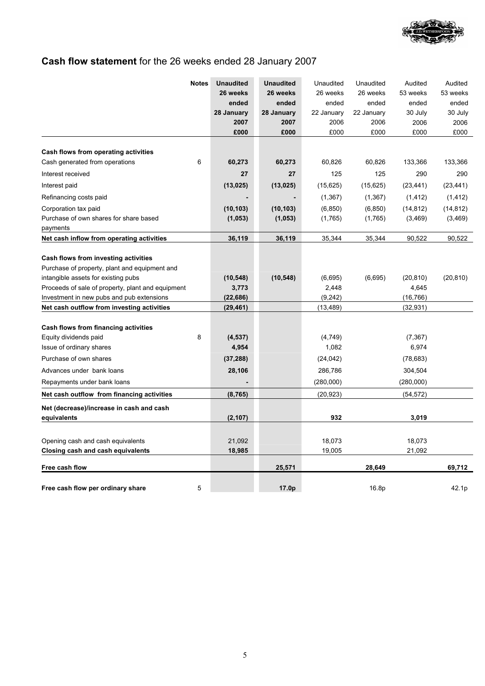

# **Cash flow statement** for the 26 weeks ended 28 January 2007

|                                                   | <b>Notes</b> | <b>Unaudited</b> | <b>Unaudited</b> | Unaudited  | Unaudited  | Audited   | Audited   |
|---------------------------------------------------|--------------|------------------|------------------|------------|------------|-----------|-----------|
|                                                   |              | 26 weeks         | 26 weeks         | 26 weeks   | 26 weeks   | 53 weeks  | 53 weeks  |
|                                                   |              | ended            | ended            | ended      | ended      | ended     | ended     |
|                                                   |              | 28 January       | 28 January       | 22 January | 22 January | 30 July   | 30 July   |
|                                                   |              | 2007             | 2007             | 2006       | 2006       | 2006      | 2006      |
|                                                   |              | £000             | £000             | £000       | £000       | £000      | £000      |
| Cash flows from operating activities              |              |                  |                  |            |            |           |           |
| Cash generated from operations                    | 6            | 60,273           | 60,273           | 60,826     | 60,826     | 133,366   | 133,366   |
| Interest received                                 |              | 27               | 27               | 125        | 125        | 290       | 290       |
| Interest paid                                     |              | (13, 025)        | (13, 025)        | (15, 625)  | (15, 625)  | (23, 441) | (23, 441) |
| Refinancing costs paid                            |              |                  |                  | (1, 367)   | (1, 367)   | (1, 412)  | (1, 412)  |
| Corporation tax paid                              |              | (10, 103)        | (10, 103)        | (6, 850)   | (6, 850)   | (14, 812) | (14, 812) |
| Purchase of own shares for share based            |              | (1,053)          | (1,053)          | (1,765)    | (1,765)    | (3, 469)  | (3, 469)  |
| payments                                          |              |                  |                  |            |            |           |           |
| Net cash inflow from operating activities         |              | 36,119           | 36,119           | 35,344     | 35,344     | 90,522    | 90,522    |
| Cash flows from investing activities              |              |                  |                  |            |            |           |           |
| Purchase of property, plant and equipment and     |              |                  |                  |            |            |           |           |
| intangible assets for existing pubs               |              | (10, 548)        | (10, 548)        | (6,695)    | (6,695)    | (20, 810) | (20, 810) |
| Proceeds of sale of property, plant and equipment |              | 3,773            |                  | 2,448      |            | 4,645     |           |
| Investment in new pubs and pub extensions         |              | (22, 686)        |                  | (9,242)    |            | (16, 766) |           |
| Net cash outflow from investing activities        |              | (29, 461)        |                  | (13, 489)  |            | (32, 931) |           |
| Cash flows from financing activities              |              |                  |                  |            |            |           |           |
| Equity dividends paid                             | 8            | (4, 537)         |                  | (4,749)    |            | (7, 367)  |           |
| Issue of ordinary shares                          |              | 4,954            |                  | 1,082      |            | 6,974     |           |
| Purchase of own shares                            |              | (37, 288)        |                  | (24, 042)  |            | (78, 683) |           |
| Advances under bank loans                         |              | 28,106           |                  | 286,786    |            | 304,504   |           |
| Repayments under bank loans                       |              |                  |                  | (280,000)  |            | (280,000) |           |
| Net cash outflow from financing activities        |              | (8, 765)         |                  | (20, 923)  |            | (54, 572) |           |
| Net (decrease)/increase in cash and cash          |              |                  |                  |            |            |           |           |
| equivalents                                       |              | (2, 107)         |                  | 932        |            | 3,019     |           |
|                                                   |              |                  |                  |            |            |           |           |
| Opening cash and cash equivalents                 |              | 21,092           |                  | 18,073     |            | 18,073    |           |
| <b>Closing cash and cash equivalents</b>          |              | 18,985           |                  | 19,005     |            | 21,092    |           |
| Free cash flow                                    |              |                  | 25,571           |            | 28,649     |           | 69,712    |
|                                                   |              |                  |                  |            |            |           |           |
| Free cash flow per ordinary share                 | 5            |                  | 17.0p            |            | 16.8p      |           | 42.1p     |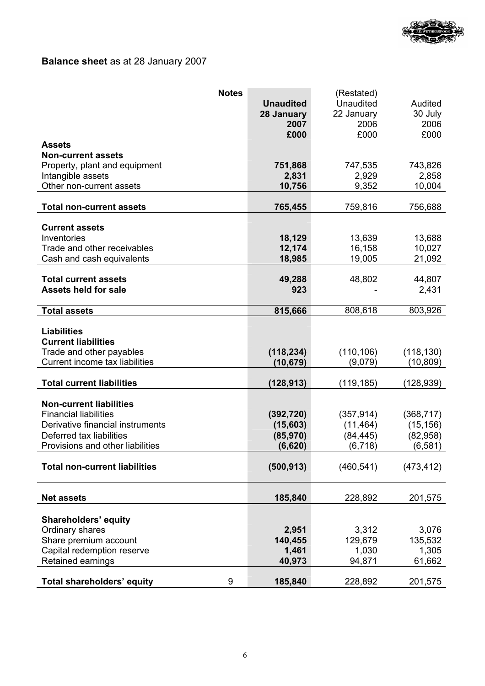

# **Balance sheet** as at 28 January 2007

| <b>Notes</b>                         |                  | (Restated) |            |
|--------------------------------------|------------------|------------|------------|
|                                      | <b>Unaudited</b> | Unaudited  | Audited    |
|                                      | 28 January       | 22 January | 30 July    |
|                                      | 2007             | 2006       | 2006       |
|                                      | £000             | £000       | £000       |
| <b>Assets</b>                        |                  |            |            |
| <b>Non-current assets</b>            |                  |            |            |
| Property, plant and equipment        | 751,868          | 747,535    | 743,826    |
| Intangible assets                    | 2,831            | 2,929      | 2,858      |
| Other non-current assets             | 10,756           | 9,352      | 10,004     |
| <b>Total non-current assets</b>      | 765,455          | 759,816    | 756,688    |
|                                      |                  |            |            |
| <b>Current assets</b>                |                  |            |            |
| Inventories                          | 18,129           | 13,639     | 13,688     |
| Trade and other receivables          | 12,174           | 16,158     | 10,027     |
| Cash and cash equivalents            | 18,985           | 19,005     | 21,092     |
|                                      |                  |            |            |
| <b>Total current assets</b>          | 49,288           | 48,802     | 44,807     |
| <b>Assets held for sale</b>          | 923              |            | 2,431      |
|                                      |                  |            |            |
| <b>Total assets</b>                  | 815,666          | 808,618    | 803,926    |
|                                      |                  |            |            |
| <b>Liabilities</b>                   |                  |            |            |
| <b>Current liabilities</b>           |                  |            |            |
| Trade and other payables             | (118, 234)       | (110, 106) | (118, 130) |
| Current income tax liabilities       | (10, 679)        | (9,079)    | (10, 809)  |
| <b>Total current liabilities</b>     | (128, 913)       | (119, 185) | (128,939)  |
|                                      |                  |            |            |
| <b>Non-current liabilities</b>       |                  |            |            |
| <b>Financial liabilities</b>         | (392, 720)       | (357, 914) | (368, 717) |
| Derivative financial instruments     | (15,603)         | (11, 464)  | (15, 156)  |
| Deferred tax liabilities             | (85, 970)        | (84, 445)  | (82,958)   |
| Provisions and other liabilities     | (6,620)          | (6, 718)   | (6, 581)   |
|                                      |                  |            |            |
| <b>Total non-current liabilities</b> | (500, 913)       | (460, 541) | (473, 412) |
|                                      |                  |            |            |
|                                      |                  |            |            |
| <b>Net assets</b>                    | 185,840          | 228,892    | 201,575    |
|                                      |                  |            |            |
| <b>Shareholders' equity</b>          |                  |            |            |
| Ordinary shares                      | 2,951            | 3,312      | 3,076      |
| Share premium account                | 140,455          | 129,679    | 135,532    |
| Capital redemption reserve           | 1,461            | 1,030      | 1,305      |
| Retained earnings                    | 40,973           | 94,871     | 61,662     |
| Total shareholders' equity<br>9      | 185,840          | 228,892    | 201,575    |
|                                      |                  |            |            |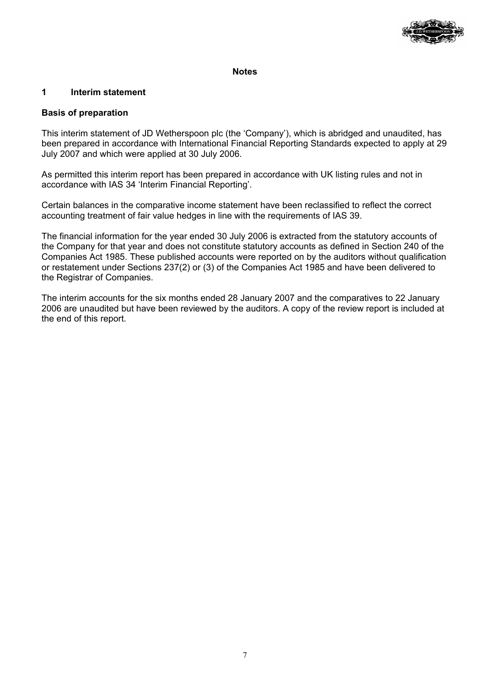

### **Notes**

## **1 Interim statement**

### **Basis of preparation**

This interim statement of JD Wetherspoon plc (the 'Company'), which is abridged and unaudited, has been prepared in accordance with International Financial Reporting Standards expected to apply at 29 July 2007 and which were applied at 30 July 2006.

As permitted this interim report has been prepared in accordance with UK listing rules and not in accordance with IAS 34 'Interim Financial Reporting'.

Certain balances in the comparative income statement have been reclassified to reflect the correct accounting treatment of fair value hedges in line with the requirements of IAS 39.

The financial information for the year ended 30 July 2006 is extracted from the statutory accounts of the Company for that year and does not constitute statutory accounts as defined in Section 240 of the Companies Act 1985. These published accounts were reported on by the auditors without qualification or restatement under Sections 237(2) or (3) of the Companies Act 1985 and have been delivered to the Registrar of Companies.

The interim accounts for the six months ended 28 January 2007 and the comparatives to 22 January 2006 are unaudited but have been reviewed by the auditors. A copy of the review report is included at the end of this report.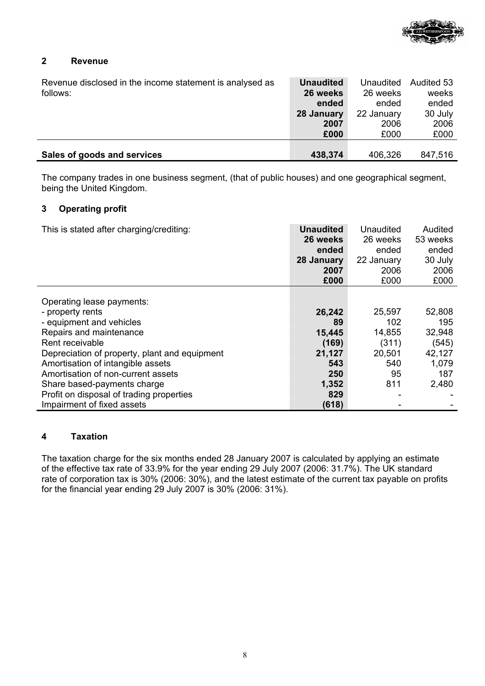

## **2 Revenue**

| Revenue disclosed in the income statement is analysed as<br>follows: | <b>Unaudited</b><br>26 weeks | Unaudited<br>26 weeks | Audited 53<br>weeks |
|----------------------------------------------------------------------|------------------------------|-----------------------|---------------------|
|                                                                      | ended                        | ended                 | ended               |
|                                                                      | 28 January                   | 22 January            | 30 July             |
|                                                                      | 2007                         | 2006                  | 2006                |
|                                                                      | £000                         | £000                  | £000                |
|                                                                      |                              |                       |                     |
| Sales of goods and services                                          | 438,374                      | 406,326               | 847,516             |

The company trades in one business segment, (that of public houses) and one geographical segment, being the United Kingdom.

## **3 Operating profit**

| This is stated after charging/crediting:      | <b>Unaudited</b><br>26 weeks<br>ended<br>28 January<br>2007<br>£000 | Unaudited<br>26 weeks<br>ended<br>22 January<br>2006<br>£000 | Audited<br>53 weeks<br>ended<br>30 July<br>2006<br>£000 |
|-----------------------------------------------|---------------------------------------------------------------------|--------------------------------------------------------------|---------------------------------------------------------|
| Operating lease payments:                     |                                                                     |                                                              |                                                         |
| - property rents                              | 26,242                                                              | 25,597                                                       | 52,808                                                  |
| - equipment and vehicles                      | 89                                                                  | 102                                                          | 195                                                     |
| Repairs and maintenance                       | 15,445                                                              | 14,855                                                       | 32,948                                                  |
| Rent receivable                               | (169)                                                               | (311)                                                        | (545)                                                   |
| Depreciation of property, plant and equipment |                                                                     | 20,501                                                       | 42,127                                                  |
|                                               | 21,127                                                              |                                                              |                                                         |
| Amortisation of intangible assets             | 543                                                                 | 540                                                          | 1,079                                                   |
| Amortisation of non-current assets            | 250                                                                 | 95                                                           | 187                                                     |
| Share based-payments charge                   | 1,352                                                               | 811                                                          | 2,480                                                   |
| Profit on disposal of trading properties      | 829                                                                 |                                                              |                                                         |
| Impairment of fixed assets                    | (618)                                                               |                                                              |                                                         |

## **4 Taxation**

The taxation charge for the six months ended 28 January 2007 is calculated by applying an estimate of the effective tax rate of 33.9% for the year ending 29 July 2007 (2006: 31.7%). The UK standard rate of corporation tax is 30% (2006: 30%), and the latest estimate of the current tax payable on profits for the financial year ending 29 July 2007 is 30% (2006: 31%).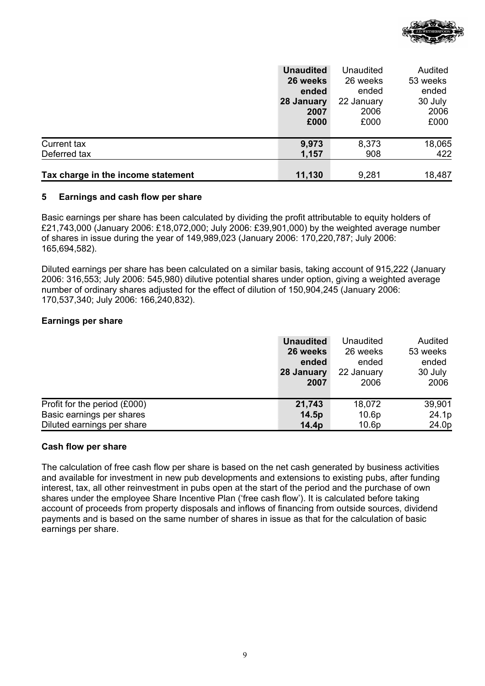

|                                    | <b>Unaudited</b> | Unaudited  | Audited  |
|------------------------------------|------------------|------------|----------|
|                                    | 26 weeks         | 26 weeks   | 53 weeks |
|                                    | ended            | ended      | ended    |
|                                    | 28 January       | 22 January | 30 July  |
|                                    | 2007             | 2006       | 2006     |
|                                    | £000             | £000       | £000     |
|                                    |                  |            |          |
| Current tax                        | 9,973            | 8,373      | 18,065   |
| Deferred tax                       | 1,157            | 908        | 422      |
|                                    |                  |            |          |
| Tax charge in the income statement | 11,130           | 9,281      | 18,487   |

### **5 Earnings and cash flow per share**

Basic earnings per share has been calculated by dividing the profit attributable to equity holders of £21,743,000 (January 2006: £18,072,000; July 2006: £39,901,000) by the weighted average number of shares in issue during the year of 149,989,023 (January 2006: 170,220,787; July 2006: 165,694,582).

Diluted earnings per share has been calculated on a similar basis, taking account of 915,222 (January 2006: 316,553; July 2006: 545,980) dilutive potential shares under option, giving a weighted average number of ordinary shares adjusted for the effect of dilution of 150,904,245 (January 2006: 170,537,340; July 2006: 166,240,832).

## **Earnings per share**

|                              | <b>Unaudited</b><br>26 weeks<br>ended<br>28 January<br>2007 | Unaudited<br>26 weeks<br>ended<br>22 January<br>2006 | Audited<br>53 weeks<br>ended<br>30 July<br>2006 |
|------------------------------|-------------------------------------------------------------|------------------------------------------------------|-------------------------------------------------|
| Profit for the period (£000) | 21,743                                                      | 18,072                                               | 39,901                                          |
| Basic earnings per shares    | 14.5p                                                       | 10.6p                                                | 24.1p                                           |
| Diluted earnings per share   | 14.4p                                                       | 10.6p                                                | 24.0p                                           |

### **Cash flow per share**

The calculation of free cash flow per share is based on the net cash generated by business activities and available for investment in new pub developments and extensions to existing pubs, after funding interest, tax, all other reinvestment in pubs open at the start of the period and the purchase of own shares under the employee Share Incentive Plan ('free cash flow'). It is calculated before taking account of proceeds from property disposals and inflows of financing from outside sources, dividend payments and is based on the same number of shares in issue as that for the calculation of basic earnings per share.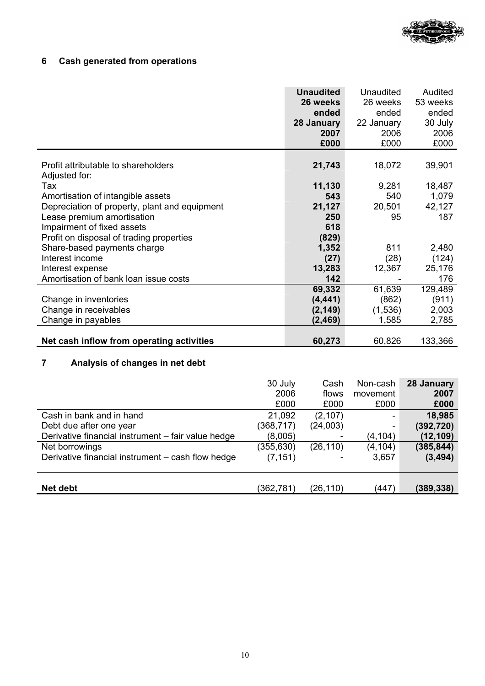

# **6 Cash generated from operations**

|                                               | <b>Unaudited</b><br>26 weeks<br>ended | Unaudited<br>26 weeks<br>ended | Audited<br>53 weeks<br>ended |
|-----------------------------------------------|---------------------------------------|--------------------------------|------------------------------|
|                                               | 28 January                            | 22 January                     | 30 July                      |
|                                               | 2007                                  | 2006                           | 2006                         |
|                                               | £000                                  | £000                           | £000                         |
|                                               |                                       |                                |                              |
| Profit attributable to shareholders           | 21,743                                | 18,072                         | 39,901                       |
| Adjusted for:                                 |                                       |                                |                              |
| Tax                                           | 11,130                                | 9,281                          | 18,487                       |
| Amortisation of intangible assets             | 543                                   | 540                            | 1,079                        |
| Depreciation of property, plant and equipment | 21,127                                | 20,501                         | 42,127                       |
| Lease premium amortisation                    | 250                                   | 95                             | 187                          |
| Impairment of fixed assets                    | 618                                   |                                |                              |
| Profit on disposal of trading properties      | (829)                                 |                                |                              |
| Share-based payments charge                   | 1,352                                 | 811                            | 2,480                        |
| Interest income                               | (27)                                  | (28)                           | (124)                        |
| Interest expense                              | 13,283                                | 12,367                         | 25,176                       |
| Amortisation of bank loan issue costs         | 142                                   |                                | 176                          |
|                                               | 69,332                                | 61,639                         | 129,489                      |
| Change in inventories                         | (4, 441)                              | (862)                          | (911)                        |
| Change in receivables                         | (2, 149)                              | (1,536)                        | 2,003                        |
| Change in payables                            | (2, 469)                              | 1,585                          | 2,785                        |
|                                               |                                       |                                |                              |
| Net cash inflow from operating activities     | 60,273                                | 60,826                         | 133,366                      |

# **7 Analysis of changes in net debt**

|                                                    | 30 July<br>2006 | Cash<br>flows | Non-cash<br>movement | 28 January<br>2007 |
|----------------------------------------------------|-----------------|---------------|----------------------|--------------------|
|                                                    | £000            | £000          | £000                 | £000               |
| Cash in bank and in hand                           | 21,092          | (2, 107)      |                      | 18,985             |
| Debt due after one year                            | (368,717)       | (24,003)      |                      | (392, 720)         |
| Derivative financial instrument - fair value hedge | (8,005)         |               | (4,104)              | (12, 109)          |
| Net borrowings                                     | (355, 630)      | (26, 110)     | (4, 104)             | (385, 844)         |
| Derivative financial instrument – cash flow hedge  | (7, 151)        |               | 3,657                | (3, 494)           |
| Net debt                                           | (362,781)       | (26,110)      | (447)                | (389,338)          |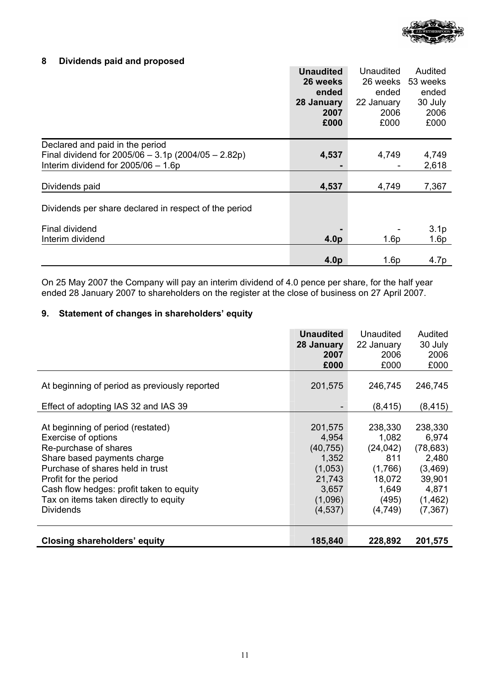

## **8 Dividends paid and proposed**

|                                                       | <b>Unaudited</b> | Unaudited        | Audited          |
|-------------------------------------------------------|------------------|------------------|------------------|
|                                                       | 26 weeks         | 26 weeks         | 53 weeks         |
|                                                       | ended            | ended            | ended            |
|                                                       | 28 January       | 22 January       | 30 July          |
|                                                       | 2007             | 2006             | 2006             |
|                                                       | £000             | £000             | £000             |
| Declared and paid in the period                       |                  |                  |                  |
| Final dividend for $2005/06 - 3.1p(2004/05 - 2.82p)$  | 4,537            | 4,749            | 4,749            |
| Interim dividend for $2005/06 - 1.6p$                 |                  |                  | 2,618            |
|                                                       |                  |                  |                  |
| Dividends paid                                        | 4,537            | 4,749            | 7,367            |
| Dividends per share declared in respect of the period |                  |                  |                  |
| Final dividend                                        |                  |                  | 3.1 <sub>p</sub> |
| Interim dividend                                      | 4.0 <sub>p</sub> | 1.6 <sub>p</sub> | 1.6p             |
|                                                       |                  |                  |                  |
|                                                       | 4.0 <sub>p</sub> | 1.6p             | 4.7p             |

On 25 May 2007 the Company will pay an interim dividend of 4.0 pence per share, for the half year ended 28 January 2007 to shareholders on the register at the close of business on 27 April 2007.

## **9. Statement of changes in shareholders' equity**

|                                                                                                                                                                                                                                                                                        | <b>Unaudited</b><br>28 January<br>2007<br>£000                                              | Unaudited<br>22 January<br>2006<br>£000                                                | Audited<br>30 July<br>2006<br>£000                                                            |
|----------------------------------------------------------------------------------------------------------------------------------------------------------------------------------------------------------------------------------------------------------------------------------------|---------------------------------------------------------------------------------------------|----------------------------------------------------------------------------------------|-----------------------------------------------------------------------------------------------|
| At beginning of period as previously reported                                                                                                                                                                                                                                          | 201,575                                                                                     | 246,745                                                                                | 246,745                                                                                       |
| Effect of adopting IAS 32 and IAS 39                                                                                                                                                                                                                                                   |                                                                                             | (8,415)                                                                                | (8, 415)                                                                                      |
| At beginning of period (restated)<br>Exercise of options<br>Re-purchase of shares<br>Share based payments charge<br>Purchase of shares held in trust<br>Profit for the period<br>Cash flow hedges: profit taken to equity<br>Tax on items taken directly to equity<br><b>Dividends</b> | 201,575<br>4,954<br>(40, 755)<br>1,352<br>(1,053)<br>21,743<br>3,657<br>(1,096)<br>(4, 537) | 238,330<br>1,082<br>(24, 042)<br>811<br>(1,766)<br>18,072<br>1,649<br>(495)<br>(4,749) | 238,330<br>6,974<br>(78, 683)<br>2,480<br>(3, 469)<br>39,901<br>4,871<br>(1, 462)<br>(7, 367) |
| <b>Closing shareholders' equity</b>                                                                                                                                                                                                                                                    | 185,840                                                                                     | 228,892                                                                                | 201,575                                                                                       |